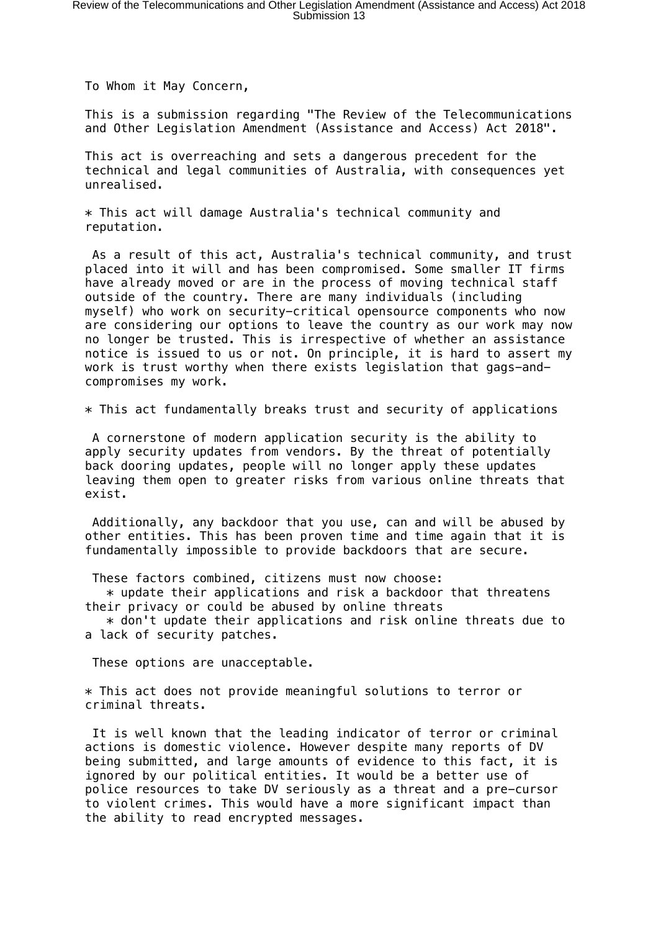To Whom it May Concern,

This is a submission regarding "The Review of the Telecommunications and Other Legislation Amendment (Assistance and Access) Act 2018".

This act is overreaching and sets a dangerous precedent for the technical and legal communities of Australia, with consequences yet unrealised.

\* This act will damage Australia's technical community and reputation.

 As a result of this act, Australia's technical community, and trust placed into it will and has been compromised. Some smaller IT firms have already moved or are in the process of moving technical staff outside of the country. There are many individuals (including myself) who work on security-critical opensource components who now are considering our options to leave the country as our work may now no longer be trusted. This is irrespective of whether an assistance notice is issued to us or not. On principle, it is hard to assert my work is trust worthy when there exists legislation that gags-andcompromises my work.

\* This act fundamentally breaks trust and security of applications

 A cornerstone of modern application security is the ability to apply security updates from vendors. By the threat of potentially back dooring updates, people will no longer apply these updates leaving them open to greater risks from various online threats that exist.

 Additionally, any backdoor that you use, can and will be abused by other entities. This has been proven time and time again that it is fundamentally impossible to provide backdoors that are secure.

These factors combined, citizens must now choose:

 $*$  update their applications and risk a backdoor that threatens their privacy or could be abused by online threats

 $*$  don't update their applications and risk online threats due to a lack of security patches.

These options are unacceptable.

\* This act does not provide meaningful solutions to terror or criminal threats.

 It is well known that the leading indicator of terror or criminal actions is domestic violence. However despite many reports of DV being submitted, and large amounts of evidence to this fact, it is ignored by our political entities. It would be a better use of police resources to take DV seriously as a threat and a pre-cursor to violent crimes. This would have a more significant impact than the ability to read encrypted messages.